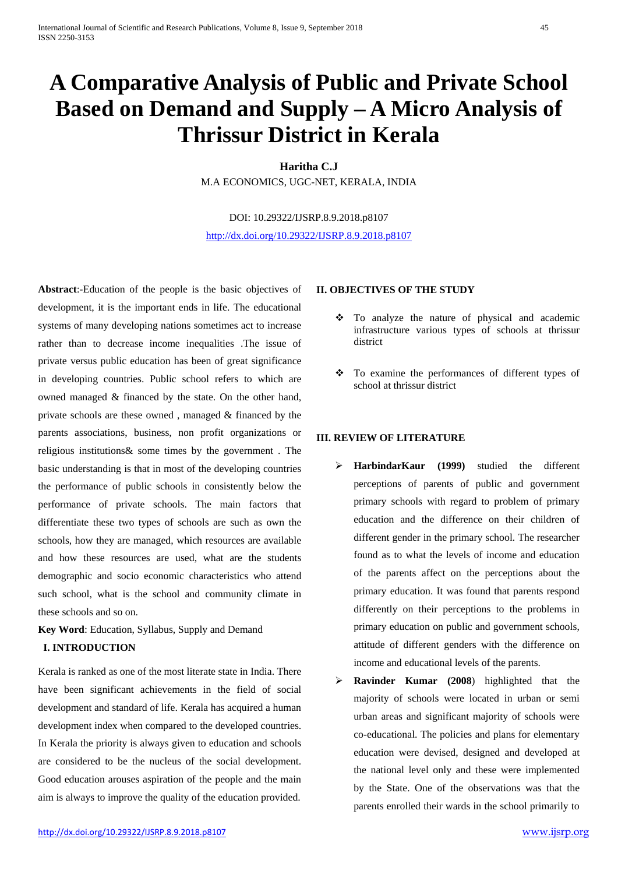# **A Comparative Analysis of Public and Private School Based on Demand and Supply – A Micro Analysis of Thrissur District in Kerala**

**Haritha C.J** M.A ECONOMICS, UGC-NET, KERALA, INDIA

DOI: 10.29322/IJSRP.8.9.2018.p8107 <http://dx.doi.org/10.29322/IJSRP.8.9.2018.p8107>

**Abstract**:-Education of the people is the basic objectives of development, it is the important ends in life. The educational systems of many developing nations sometimes act to increase rather than to decrease income inequalities .The issue of private versus public education has been of great significance in developing countries. Public school refers to which are owned managed & financed by the state. On the other hand, private schools are these owned , managed & financed by the parents associations, business, non profit organizations or religious institutions& some times by the government . The basic understanding is that in most of the developing countries the performance of public schools in consistently below the performance of private schools. The main factors that differentiate these two types of schools are such as own the schools, how they are managed, which resources are available and how these resources are used, what are the students demographic and socio economic characteristics who attend such school, what is the school and community climate in these schools and so on.

**Key Word**: Education, Syllabus, Supply and Demand

# **I. INTRODUCTION**

Kerala is ranked as one of the most literate state in India. There have been significant achievements in the field of social development and standard of life. Kerala has acquired a human development index when compared to the developed countries. In Kerala the priority is always given to education and schools are considered to be the nucleus of the social development. Good education arouses aspiration of the people and the main aim is always to improve the quality of the education provided.

#### **II. OBJECTIVES OF THE STUDY**

- To analyze the nature of physical and academic infrastructure various types of schools at thrissur district
- To examine the performances of different types of school at thrissur district

## **III. REVIEW OF LITERATURE**

- **HarbindarKaur (1999)** studied the different perceptions of parents of public and government primary schools with regard to problem of primary education and the difference on their children of different gender in the primary school. The researcher found as to what the levels of income and education of the parents affect on the perceptions about the primary education. It was found that parents respond differently on their perceptions to the problems in primary education on public and government schools, attitude of different genders with the difference on income and educational levels of the parents.
- **Ravinder Kumar (2008**) highlighted that the majority of schools were located in urban or semi urban areas and significant majority of schools were co-educational. The policies and plans for elementary education were devised, designed and developed at the national level only and these were implemented by the State. One of the observations was that the parents enrolled their wards in the school primarily to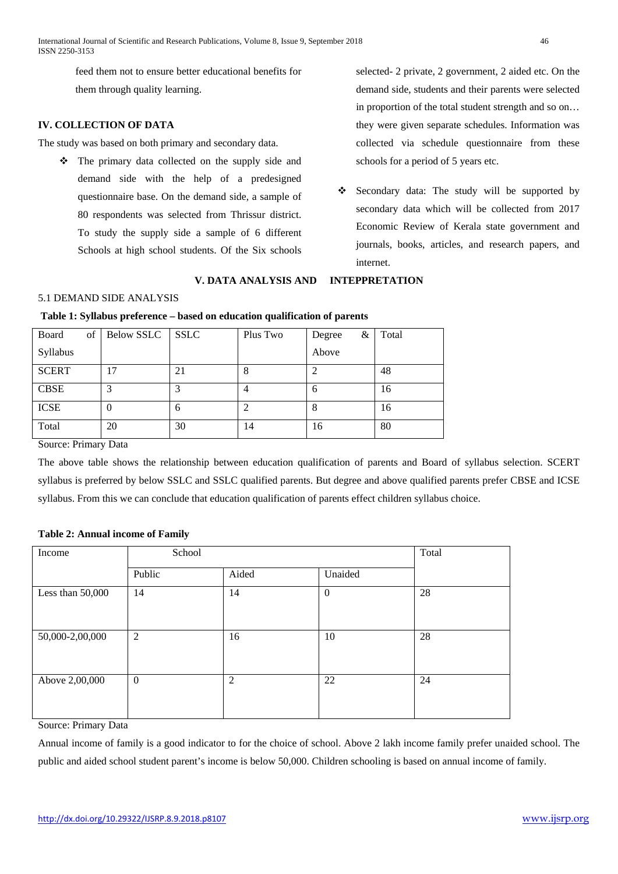feed them not to ensure better educational benefits for them through quality learning.

# **IV. COLLECTION OF DATA**

The study was based on both primary and secondary data.

• The primary data collected on the supply side and demand side with the help of a predesigned questionnaire base. On the demand side, a sample of 80 respondents was selected from Thrissur district. To study the supply side a sample of 6 different Schools at high school students. Of the Six schools

# **V. DATA ANALYSIS AND INTEPPRETATION**

in proportion of the total student strength and so on… they were given separate schedules. Information was collected via schedule questionnaire from these schools for a period of 5 years etc.

selected- 2 private, 2 government, 2 aided etc. On the demand side, students and their parents were selected

\* Secondary data: The study will be supported by secondary data which will be collected from 2017 Economic Review of Kerala state government and journals, books, articles, and research papers, and internet.

#### 5.1 DEMAND SIDE ANALYSIS

#### **Table 1: Syllabus preference – based on education qualification of parents**

| Board<br>of  | Below SSLC | <b>SSLC</b> | Plus Two | &<br>Degree  | Total |
|--------------|------------|-------------|----------|--------------|-------|
| Syllabus     |            |             |          | Above        |       |
| <b>SCERT</b> | 17         | 21          | 8        |              | 48    |
| <b>CBSE</b>  | 3          | 3           | 4        | <sub>0</sub> | 16    |
| <b>ICSE</b>  | O          | 6           |          |              | 16    |
| Total        | 20         | 30          | 14       | 16           | 80    |

Source: Primary Data

The above table shows the relationship between education qualification of parents and Board of syllabus selection. SCERT syllabus is preferred by below SSLC and SSLC qualified parents. But degree and above qualified parents prefer CBSE and ICSE syllabus. From this we can conclude that education qualification of parents effect children syllabus choice.

#### **Table 2: Annual income of Family**

| Income           | School           |                |                  |    |  |  |
|------------------|------------------|----------------|------------------|----|--|--|
|                  | Public           | Aided          | Unaided          |    |  |  |
| Less than 50,000 | 14               | 14             | $\boldsymbol{0}$ | 28 |  |  |
| 50,000-2,00,000  | $\overline{2}$   | 16             | 10               | 28 |  |  |
| Above 2,00,000   | $\boldsymbol{0}$ | $\overline{2}$ | 22               | 24 |  |  |

Source: Primary Data

Annual income of family is a good indicator to for the choice of school. Above 2 lakh income family prefer unaided school. The public and aided school student parent's income is below 50,000. Children schooling is based on annual income of family.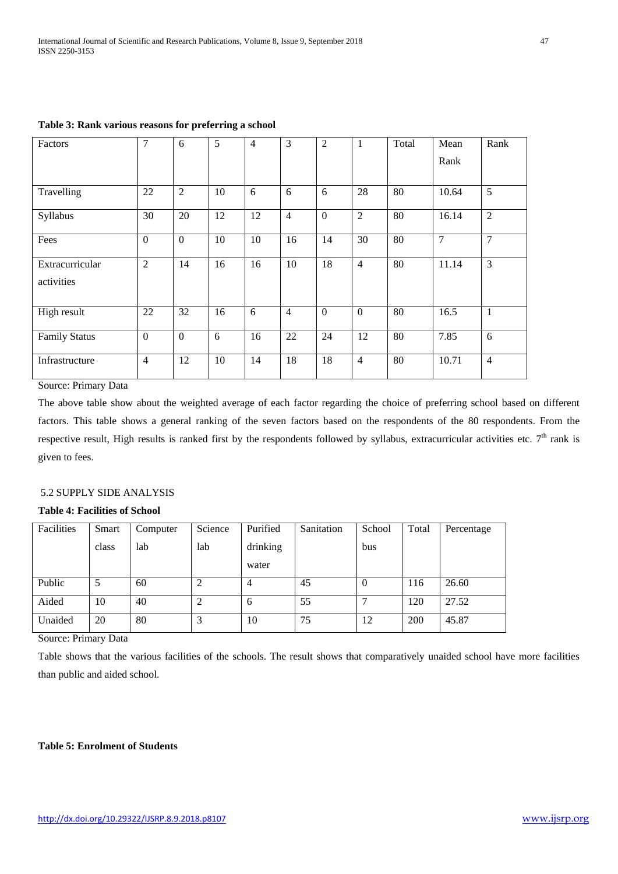| Factors                       | 7              | 6              | 5  | $\overline{4}$ | 3              | $\overline{2}$   | 1              | Total | Mean<br>Rank   | Rank           |
|-------------------------------|----------------|----------------|----|----------------|----------------|------------------|----------------|-------|----------------|----------------|
| Travelling                    | 22             | $\overline{2}$ | 10 | 6              | 6              | 6                | 28             | 80    | 10.64          | 5              |
| Syllabus                      | 30             | 20             | 12 | 12             | $\overline{4}$ | $\boldsymbol{0}$ | $\overline{2}$ | 80    | 16.14          | $\overline{2}$ |
| Fees                          | $\mathbf{0}$   | $\overline{0}$ | 10 | 10             | 16             | 14               | 30             | 80    | $\overline{7}$ | 7              |
| Extracurricular<br>activities | $\overline{2}$ | 14             | 16 | 16             | 10             | 18               | $\overline{4}$ | 80    | 11.14          | 3              |
| High result                   | 22             | 32             | 16 | 6              | $\overline{4}$ | $\boldsymbol{0}$ | $\overline{0}$ | 80    | 16.5           | $\mathbf{1}$   |
| <b>Family Status</b>          | $\mathbf{0}$   | $\overline{0}$ | 6  | 16             | 22             | 24               | 12             | 80    | 7.85           | 6              |
| Infrastructure                | $\overline{4}$ | 12             | 10 | 14             | 18             | 18               | $\overline{4}$ | 80    | 10.71          | $\overline{4}$ |

**Table 3: Rank various reasons for preferring a school**

Source: Primary Data

The above table show about the weighted average of each factor regarding the choice of preferring school based on different factors. This table shows a general ranking of the seven factors based on the respondents of the 80 respondents. From the respective result, High results is ranked first by the respondents followed by syllabus, extracurricular activities etc.  $7<sup>th</sup>$  rank is given to fees.

## 5.2 SUPPLY SIDE ANALYSIS

# **Table 4: Facilities of School**

| Facilities | Smart | Computer | Science        | Purified | Sanitation | School         | Total | Percentage |
|------------|-------|----------|----------------|----------|------------|----------------|-------|------------|
|            | class | lab      | lab            | drinking |            | bus            |       |            |
|            |       |          |                | water    |            |                |       |            |
| Public     | 5     | 60       | 2              | 4        | 45         | $\overline{0}$ | 116   | 26.60      |
| Aided      | 10    | 40       | $\overline{2}$ | 6        | 55         | ⇁              | 120   | 27.52      |
| Unaided    | 20    | 80       | 3              | 10       | 75         | 12             | 200   | 45.87      |

Source: Primary Data

Table shows that the various facilities of the schools. The result shows that comparatively unaided school have more facilities than public and aided school.

## **Table 5: Enrolment of Students**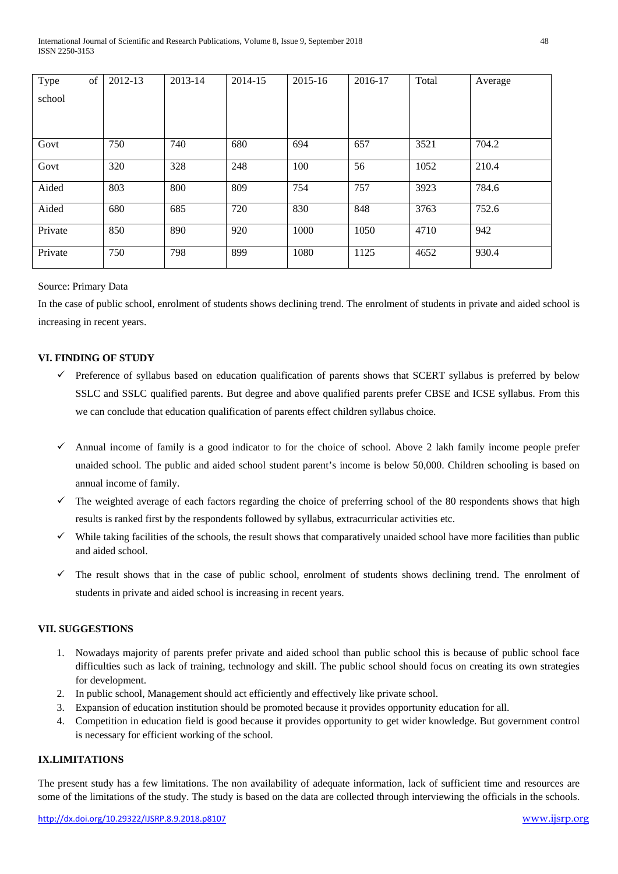| Type    | of | 2012-13 | 2013-14 | 2014-15 | 2015-16 | 2016-17 | Total | Average |
|---------|----|---------|---------|---------|---------|---------|-------|---------|
| school  |    |         |         |         |         |         |       |         |
|         |    |         |         |         |         |         |       |         |
|         |    |         |         |         |         |         |       |         |
| Govt    |    | 750     | 740     | 680     | 694     | 657     | 3521  | 704.2   |
| Govt    |    | 320     | 328     | 248     | 100     | 56      | 1052  | 210.4   |
| Aided   |    | 803     | 800     | 809     | 754     | 757     | 3923  | 784.6   |
| Aided   |    | 680     | 685     | 720     | 830     | 848     | 3763  | 752.6   |
| Private |    | 850     | 890     | 920     | 1000    | 1050    | 4710  | 942     |
| Private |    | 750     | 798     | 899     | 1080    | 1125    | 4652  | 930.4   |

#### Source: Primary Data

In the case of public school, enrolment of students shows declining trend. The enrolment of students in private and aided school is increasing in recent years.

## **VI. FINDING OF STUDY**

- $\checkmark$  Preference of syllabus based on education qualification of parents shows that SCERT syllabus is preferred by below SSLC and SSLC qualified parents. But degree and above qualified parents prefer CBSE and ICSE syllabus. From this we can conclude that education qualification of parents effect children syllabus choice.
- Annual income of family is a good indicator to for the choice of school. Above 2 lakh family income people prefer unaided school. The public and aided school student parent's income is below 50,000. Children schooling is based on annual income of family.
- $\checkmark$  The weighted average of each factors regarding the choice of preferring school of the 80 respondents shows that high results is ranked first by the respondents followed by syllabus, extracurricular activities etc.
- $\checkmark$  While taking facilities of the schools, the result shows that comparatively unaided school have more facilities than public and aided school.
- $\checkmark$  The result shows that in the case of public school, enrolment of students shows declining trend. The enrolment of students in private and aided school is increasing in recent years.

## **VII. SUGGESTIONS**

- 1. Nowadays majority of parents prefer private and aided school than public school this is because of public school face difficulties such as lack of training, technology and skill. The public school should focus on creating its own strategies for development.
- 2. In public school, Management should act efficiently and effectively like private school.
- 3. Expansion of education institution should be promoted because it provides opportunity education for all.
- 4. Competition in education field is good because it provides opportunity to get wider knowledge. But government control is necessary for efficient working of the school.

#### **IX.LIMITATIONS**

The present study has a few limitations. The non availability of adequate information, lack of sufficient time and resources are some of the limitations of the study. The study is based on the data are collected through interviewing the officials in the schools.